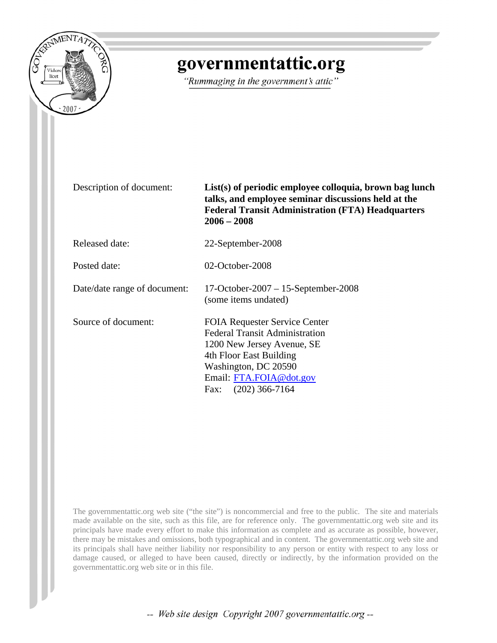

# governmentattic.org

"Rummaging in the government's attic"

Description of document: **List(s) of periodic employee colloquia, brown bag lunch talks, and employee seminar discussions held at the Federal Transit Administration (FTA) Headquarters 2006 – 2008**

Released date: 22-September-2008

Posted date: 02-October-2008

Date/date range of document: 17-October-2007 – 15-September-2008

Source of document: FOIA Requester Service Center Federal Transit Administration 1200 New Jersey Avenue, SE 4th Floor East Building Washington, DC 20590 Email: [FTA.FOIA@dot.gov](mailto:FTA.FOIA@dot.gov) Fax: (202) 366-7164

(some items undated)

The governmentattic.org web site ("the site") is noncommercial and free to the public. The site and materials made available on the site, such as this file, are for reference only. The governmentattic.org web site and its principals have made every effort to make this information as complete and as accurate as possible, however, there may be mistakes and omissions, both typographical and in content. The governmentattic.org web site and its principals shall have neither liability nor responsibility to any person or entity with respect to any loss or damage caused, or alleged to have been caused, directly or indirectly, by the information provided on the governmentattic.org web site or in this file.

-- Web site design Copyright 2007 governmentattic.org --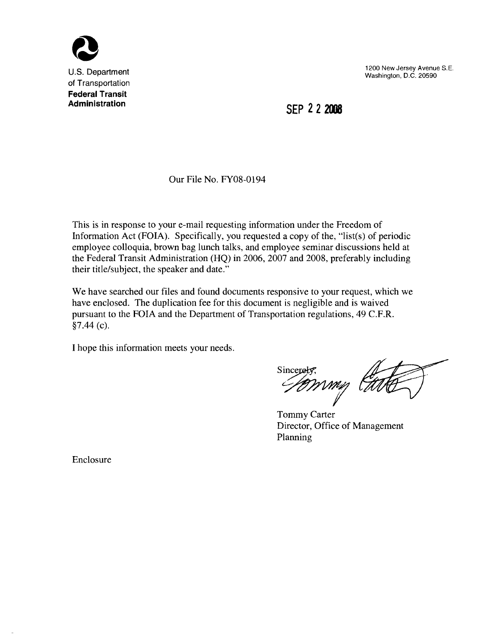

U.S. Department of Transportation **Federal Transit Administration**

1200 New Jersey Avenue S.E. Washington, D.C. 20590

**SEP 222008**

Our File No. FY08-0194

This is in response to your e-mail requesting information under the Freedom of Information Act (FOIA). Specifically, you requested a copy of the, "list(s) of periodic employee colloquia, brown bag lunch talks, and employee seminar discussions held at the Federal Transit Administration (HQ) in 2006, 2007 and 2008, preferably including their title/subject, the speaker and date."

We have searched our files and found documents responsive to your request, which we have enclosed. The duplication fee for this document is negligible and is waived pursuant to the FOIA and the Department of Transportation regulations, 49 C.F.R. §7.44 (c).

I hope this information meets your needs.

Sincerety,<br>*HOWWW* 

Tommy Carter Director, Office of Management Planning

Enclosure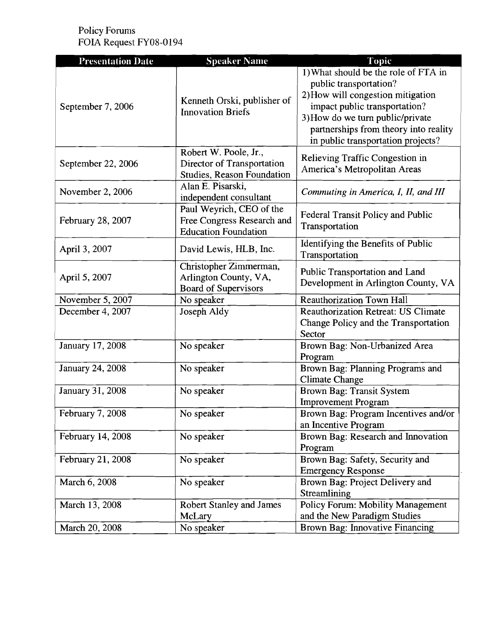Policy Forums FOIA Request FY08-0194

| <b>Presentation Date</b> | <b>Speaker Name</b>                                                                      | Topic                                                                                                                                                                                                                                                   |
|--------------------------|------------------------------------------------------------------------------------------|---------------------------------------------------------------------------------------------------------------------------------------------------------------------------------------------------------------------------------------------------------|
| September 7, 2006        | Kenneth Orski, publisher of<br><b>Innovation Briefs</b>                                  | 1) What should be the role of FTA in<br>public transportation?<br>2) How will congestion mitigation<br>impact public transportation?<br>3) How do we turn public/private<br>partnerships from theory into reality<br>in public transportation projects? |
| September 22, 2006       | Robert W. Poole, Jr.,<br>Director of Transportation<br><b>Studies, Reason Foundation</b> | Relieving Traffic Congestion in<br>America's Metropolitan Areas                                                                                                                                                                                         |
| November 2, 2006         | Alan E. Pisarski,<br>independent consultant                                              | Commuting in America, I, II, and III                                                                                                                                                                                                                    |
| February 28, 2007        | Paul Weyrich, CEO of the<br>Free Congress Research and<br><b>Education Foundation</b>    | <b>Federal Transit Policy and Public</b><br>Transportation                                                                                                                                                                                              |
| April 3, 2007            | David Lewis, HLB, Inc.                                                                   | Identifying the Benefits of Public<br>Transportation                                                                                                                                                                                                    |
| April 5, 2007            | Christopher Zimmerman,<br>Arlington County, VA,<br><b>Board of Supervisors</b>           | Public Transportation and Land<br>Development in Arlington County, VA                                                                                                                                                                                   |
| November 5, 2007         | No speaker                                                                               | <b>Reauthorization Town Hall</b>                                                                                                                                                                                                                        |
| December 4, 2007         | Joseph Aldy                                                                              | <b>Reauthorization Retreat: US Climate</b><br>Change Policy and the Transportation<br>Sector                                                                                                                                                            |
| January 17, 2008         | No speaker                                                                               | Brown Bag: Non-Urbanized Area<br>Program                                                                                                                                                                                                                |
| <b>January 24, 2008</b>  | No speaker                                                                               | Brown Bag: Planning Programs and<br><b>Climate Change</b>                                                                                                                                                                                               |
| January 31, 2008         | No speaker                                                                               | Brown Bag: Transit System<br><b>Improvement Program</b>                                                                                                                                                                                                 |
| February 7, 2008         | No speaker                                                                               | Brown Bag: Program Incentives and/or<br>an Incentive Program                                                                                                                                                                                            |
| February 14, 2008        | No speaker                                                                               | Brown Bag: Research and Innovation<br>Program                                                                                                                                                                                                           |
| February 21, 2008        | No speaker                                                                               | Brown Bag: Safety, Security and<br><b>Emergency Response</b>                                                                                                                                                                                            |
| March 6, 2008            | No speaker                                                                               | Brown Bag: Project Delivery and<br>Streamlining                                                                                                                                                                                                         |
| March 13, 2008           | <b>Robert Stanley and James</b><br>McLary                                                | Policy Forum: Mobility Management<br>and the New Paradigm Studies                                                                                                                                                                                       |
| March 20, 2008           | No speaker                                                                               | Brown Bag: Innovative Financing                                                                                                                                                                                                                         |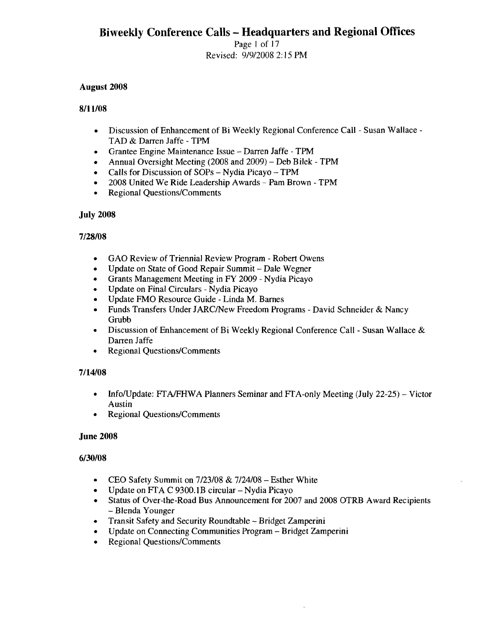Page I of 17 Revised: 9/9/2008 2: 15 PM

# August 2008

# 8/1l/08

- Discussion of Enhancement of Bi Weekly Regional Conference Call Susan Wallace TAD & Darren Jaffe - TPM
- Grantee Engine Maintenance Issue Darren Jaffe TPM
- Annual Oversight Meeting (2008 and 2009) Deb Bilek TPM
- Calls for Discussion of SOPs Nydia Picayo TPM
- 2008 United We Ride Leadership Awards Pam Brown TPM
- Regional Questions/Comments

# July 2008

# 7/28/08

- GAO Review of Triennial Review Program Robert Owens
- Update on State of Good Repair Summit Dale Wegner
- Grants Management Meeting in FY 2009 Nydia Picayo
- Update on Final Circulars Nydia Picayo
- Update FMO Resource Guide Linda M. Barnes
- Funds Transfers Under JARC/New Freedom Programs David Schneider & Nancy Grubb
- Discussion of Enhancement of Bi Weekly Regional Conference Call Susan Wallace & Darren Jaffe
- Regional Questions/Comments

#### 7/14/08

- Info/Update: FTA/FHWA Planners Seminar and FTA-only Meeting (July 22-25) Victor Austin
- **Regional Questions/Comments**

#### June 2008

#### 6/30/08

- CEO Safety Summit on  $7/23/08 \& 7/24/08 -$  Esther White
- Update on FTA C 9300.1B circular Nydia Picayo
- Status of Over-the-Road Bus Announcement for 2007 and 2008 OTRB Award Recipients - Blenda Younger
- Transit Safety and Security Roundtable Bridget Zamperini
- Update on Connecting Communities Program Bridget Zamperini
- Regional Questions/Comments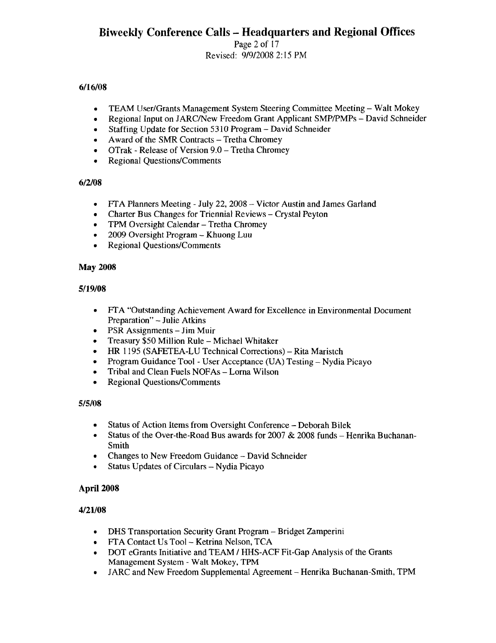Page 2 of 17 Revised: 9/912008 2: 15 PM

# *6/16/08*

- TEAM User/Grants Management System Steering Committee Meeting Walt Mokey
- Regional Input on JARC/New Freedom Grant Applicant SMP/PMPs David Schneider
- Staffing Update for Section 5310 Program David Schneider
- Award of the SMR Contracts Tretha Chromey
- OTrak Release of Version 9.0 Tretha Chromey
- Regional Questions/Comments

# *6/2/08*

- FTA Planners Meeting July 22, 2008 Victor Austin and James Garland
- Charter Bus Changes for Triennial Reviews Crystal Peyton
- TPM Oversight Calendar Tretha Chromey
- 2009 Oversight Program Khuong Luu
- Regional Questions/Comments

# May 2008

# *5/19/08*

- FTA "Outstanding Achievement Award for Excellence in Environmental Document Preparation" - Julie Atkins
- PSR Assignments Jim Muir
- Treasury \$50 Million Rule Michael Whitaker
- HR 1195 (SAFETEA-LU Technical Corrections) Rita Maristch
- Program Guidance Tool User Acceptance (UA) Testing Nydia Picayo
- Tribal and Clean Fuels NOFAs Lorna Wilson
- Regional Questions/Comments

# *5/5/08*

- Status of Action Items from Oversight Conference Deborah Bilek
- Status of the Over-the-Road Bus awards for  $2007 \& 2008$  funds Henrika Buchanan-Smith
- Changes to New Freedom Guidance David Schneider
- Status Updates of Circulars Nydia Picayo

# April 2008

# *4/21/08*

- DHS Transportation Security Grant Program Bridget Zamperini
- PTA Contact Us Tool Ketrina Nelson, TCA
- DOT eGrants Initiative and TEAM / HHS-ACF Fit-Gap Analysis of the Grants Management System - Walt Mokey, TPM
- JARC and New Freedom Supplemental Agreement Henrika Buchanan-Smith, TPM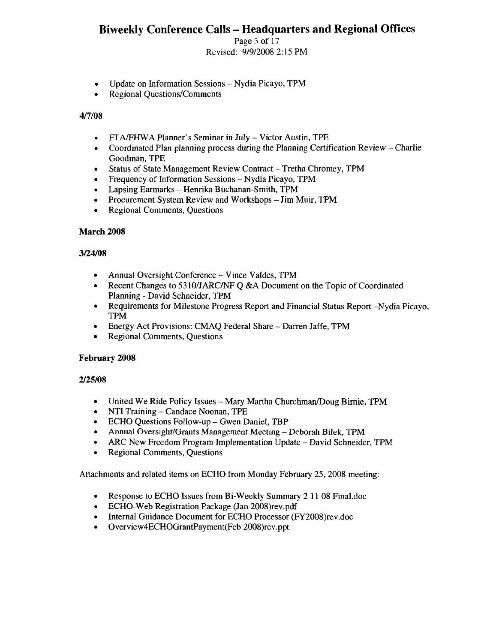Page 3 of 17 Revised: 9/912008 2: 15 PM

- Update on Information Sessions Nydia Picayo, TPM
- Regional Questions/Comments

#### 417/08

- FfAIFHWA Planner's Seminar in July Victor Austin, TPE
- Coordinated Plan planning process during the Planning Certification Review Charlie Goodman, TPE
- Status of State Management Review Contract Tretha Chromey, TPM
- Frequency of Information Sessions Nydia Picayo, TPM
- Lapsing Earmarks Henrika Buchanan-Smith, TPM
- Procurement System Review and Workshops Jim Muir, TPM
- Regional Comments, Questions

#### March 2008

#### 3/24/08

- Annual Oversight Conference Vince Valdes, TPM
- Recent Changes to 5310/JARC/NF Q &A Document on the Topic of Coordinated Planning - David Schneider, TPM
- Requirements for Milestone Progress Report and Financial Status Report -Nydia Picayo, TPM
- Energy Act Provisions: CMAQ Federal Share Darren Jaffe, TPM
- Regional Comments, Questions

#### February 2008

#### 2125/08

- United We Ride Policy Issues Mary Martha Churchman/Doug Birnie, TPM
- NTI Training Candace Noonan, TPE
- ECHO Questions Follow-up Gwen Daniel, TBP
- Annual Oversight/Grants Management Meeting Deborah Bilek, TPM
- ARC New Freedom Program Implementation Update David Schneider, TPM
- Regional Comments, Questions

Attachments and related items on ECHO from Monday February 25, 2008 meeting:

- Response to ECHO Issues from Bi-Weekly Summary 2 11 08 Final.doc
- ECHO-Web Registration Package (Jan 2008)rev.pdf
- Internal Guidance Document for ECHO Processor (FY2008)rev.doc
- Overview4ECHOGrantPayment(Feb 2008)rev.ppt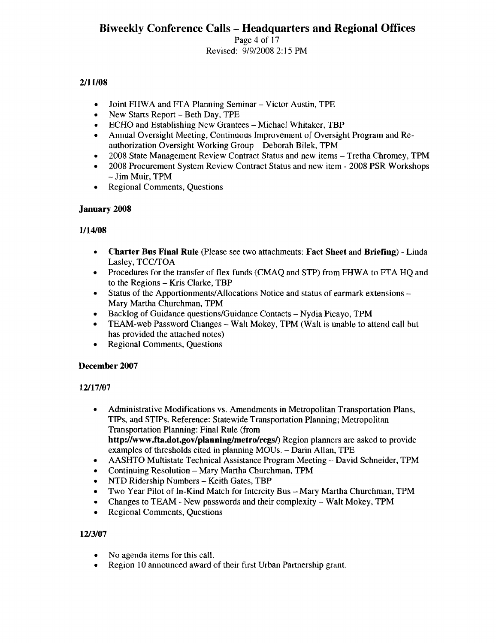Page 4 of 17 Revised: 9/9/2008 2: 15 PM

# 2/11/08

- Joint FHWA and FTA Planning Seminar Victor Austin, TPE
- New Starts Report Beth Day, TPE
- ECHO and Establishing New Grantees Michael Whitaker, TBP
- Annual Oversight Meeting, Continuous Improvement of Oversight Program and Reauthorization Oversight Working Group - Deborah Bilek, TPM
- 2008 State Management Review Contract Status and new items Tretha Chromey, TPM
- 2008 Procurement System Review Contract Status and new item 2008 PSR Workshops - Jim Muir, TPM
- Regional Comments, Questions

# January 2008

# 1/14/08

- Charter Bus Final Rule (Please see two attachments: Fact Sheet and Briefing) Linda Lasley, TCC/TOA
- Procedures for the transfer of flex funds (CMAQ and STP) from FHWA to FfA HQ and to the Regions - Kris Clarke, TBP
- Status of the Apportionments/Allocations Notice and status of earmark extensions Mary Martha Churchman, TPM
- Backlog of Guidance questions/Guidance Contacts Nydia Picayo, TPM
- TEAM-web Password Changes Walt Mokey, TPM (Walt is unable to attend call but has provided the attached notes)
- Regional Comments, Questions

# December 2007

# 12/17/07

- Administrative Modifications vs. Amendments in Metropolitan Transportation Plans, TIPs, and STIPs. Reference: Statewide Transportation Planning; Metropolitan Transportation Planning: Final Rule (from http://www.fta.dot.gov/planning/metro/regs/) Region planners are asked to provide examples of thresholds cited in planning MOUs. - Darin Allan, TPE
- AASHTO Multistate Technical Assistance Program Meeting David Schneider, TPM
- Continuing Resolution Mary Martha Churchman, TPM
- NTD Ridership Numbers Keith Gates, TBP
- Two Year Pilot of In-Kind Match for Intercity Bus Mary Martha Churchman, TPM
- Changes to TEAM New passwords and their complexity Walt Mokey, TPM
- Regional Comments, Questions

# 12/3/07

- No agenda items for this call.
- Region 10 announced award of their first Urban Partnership grant.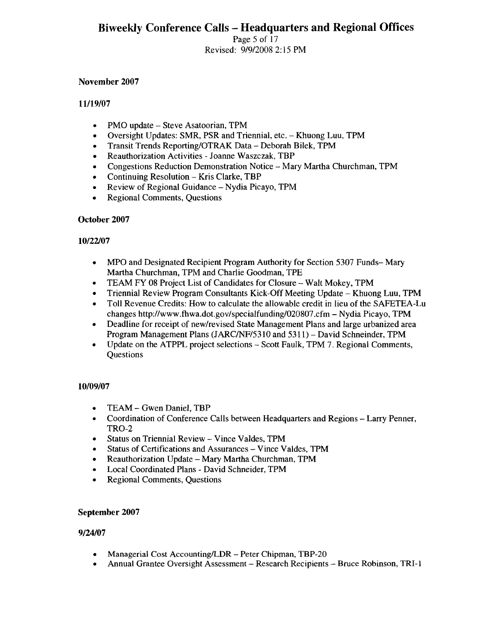Page 5 of 17 Revised: 9/912008 2: 15 PM

#### November 2007

#### *11119/07*

- PMO update Steve Asatoorian, TPM
- Oversight Updates: SMR, PSR and Triennial, etc. Khuong Luu, TPM
- Transit Trends Reporting/OTRAK Data Deborah Bilek, TPM
- Reauthorization Activities Joanne Waszczak, TBP
- Congestions Reduction Demonstration Notice Mary Martha Churchman, TPM
- Continuing Resolution Kris Clarke, TBP
- Review of Regional Guidance Nydia Picayo, TPM
- Regional Comments, Questions

#### October 2007

# *10/22107*

- MPO and Designated Recipient Program Authority for Section 5307 Funds- Mary Martha Churchman, TPM and Charlie Goodman, TPE
- TEAM FY 08 Project List of Candidates for Closure Walt Mokey, TPM
- Triennial Review Program Consultants Kick-Off Meeting Update Khuong Luu, TPM
- Toll Revenue Credits: How to calculate the allowable credit in lieu of the SAFETEA-Lu changes http://www.fhwa.dot.gov/specialfunding/020807.cfm - Nydia Picayo, TPM
- Deadline for receipt of new/revised State Management Plans and large urbanized area Program Management Plans (JARCINF/531O and 5311) - David Schneinder, TPM
- Update on the ATPPL project selections Scott Faulk, TPM 7. Regional Comments, **Questions**

# *10/09/07*

- TEAM Gwen Daniel, TBP
- Coordination of Conference Calls between Headquarters and Regions Larry Penner, TRO-2
- Status on Triennial Review Vince Valdes, TPM
- Status of Certifications and Assurances Vince Valdes, TPM
- Reauthorization Update Mary Martha Churchman, TPM
- Local Coordinated Plans David Schneider, TPM
- Regional Comments, Questions

#### September 2007

#### *9/24107*

- Managerial Cost Accounting/LDR Peter Chipman, TBP-20
- Annual Grantee Oversight Assessment Research Recipients Bruce Robinson, TRI-l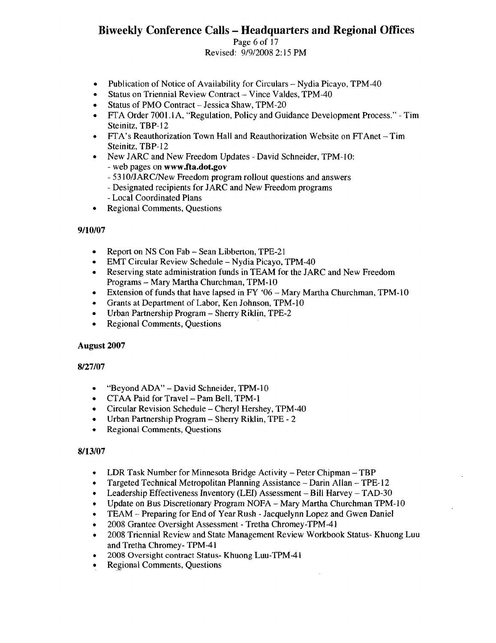Page 6 of 17 Revised: 9/912008 2: 15 PM

- Publication of Notice of Availability for Circulars Nydia Picayo, TPM-40
- Status on Triennial Review Contract- Vince Valdes, TPM-40
- Status of PMO Contract Jessica Shaw, TPM-20
- FfA Order 7001.1 A, "Regulation, Policy and Guidance Development Process." Tim Steinitz, TBP-12
- FfA's Reauthorization Town Hall and Reauthorization Website on FfAnet Tim Steinitz, TBP-12
- New JARC and New Freedom Updates David Schneider, TPM-lO: - web pages on www.fta.dot.gov
	- 531O/JARClNew Freedom program rollout questions and answers
	- Designated recipients for JARC and New Freedom programs
	- Local Coordinated Plans
- Regional Comments, Questions

# 9/10/07

- Report on NS Con Fab Sean Libberton, TPE-21
- EMT Circular Review Schedule Nydia Picayo, TPM-40
- Reserving state administration funds in TEAM for the JARC and New Freedom Programs - Mary Martha Churchman, TPM-10
- Extension of funds that have lapsed in  $FY'06 Mary Marth$  Churchman, TPM-10
- Grants at Department of Labor, Ken Johnson, TPM-10
- Urban Partnership Program Sherry Riklin, TPE-2
- Regional Comments, Questions

# August 2007

# 8/27/07

- "Beyond ADA" David Schneider, TPM-10
- CTAA Paid for Travel- Pam Bell, TPM-1
- Circular Revision Schedule Cheryl Hershey, TPM-40
- Urban Partnership Program Sherry Riklin, TPE 2
- Regional Comments, Questions

#### 8/13/07

- LDR Task Number for Minnesota Bridge Activity Peter Chipman TBP
- Targeted Technical Metropolitan Planning Assistance Darin Allan TPE-12
- Leadership Effectiveness Inventory (LEI) Assessment Bill Harvey TAD-30
- Update on Bus Discretionary Program NOFA Mary Martha Churchman TPM-lO
- TEAM Preparing for End of Year Rush Jacquelynn Lopez and Gwen Daniel
- 2008 Grantee Oversight Assessment Tretha Chromey-TPM-41
- 2008 Triennial Review and State Management Review Workbook Status- Khuong Luu and Tretha Chromey- TPM-41
- 2008 Oversight contract Status- Khuong Luu-TPM-41
- **Regional Comments, Questions**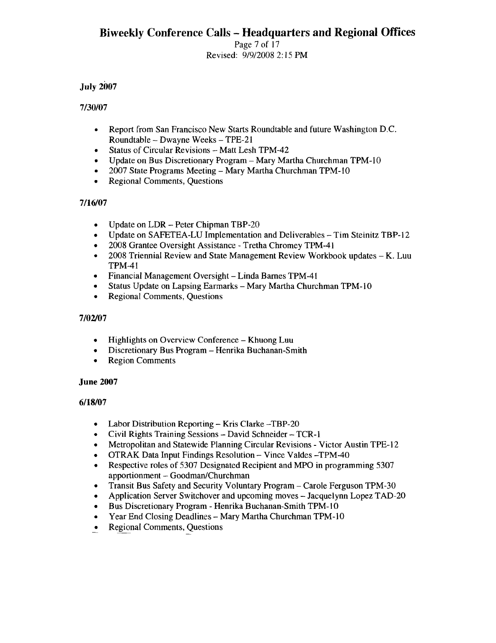Page 7 of 17 Revised: *9/9120082:* 15 PM

# July 2007

# 7/30107

- Report from San Francisco New Starts Roundtable and future Washington D.C. Roundtable - Dwayne Weeks - TPE-21
- Status of Circular Revisions Matt Lesh TPM-42
- Update on Bus Discretionary Program Mary Martha Churchman TPM-IO
- *• 2007* State Programs Meeting Mary Martha Churchman TPM-lO
- Regional Comments, Questions

# 7/16/07

- Update on LDR Peter Chipman TBP-20
- Update on SAFETEA-LU Implementation and Deliverables Tim Steinitz TBP-12
- 2008 Grantee Oversight Assistance Tretha Chromey TPM-41
- 2008 Triennial Review and State Management Review Workbook updates K. Luu TPM-41
- Financial Management Oversight Linda Barnes TPM-41
- Status Update on Lapsing Earmarks Mary Martha Churchman TPM-10
- Regional Comments, Questions

# 7/02/07

- Highlights on Overview Conference Khuong Luu
- Discretionary Bus Program Henrika Buchanan-Smith
- Region Comments

# June 2007

# 6/18/07

- Labor Distribution Reporting Kris Clarke -TBP-20
- Civil Rights Training Sessions David Schneider TCR-1
- Metropolitan and Statewide Planning Circular Revisions Victor Austin TPE-12
- OTRAK Data Input Findings Resolution- Vince Valdes -TPM-40
- Respective roles of 5307 Designated Recipient and MPO in programming 5307 apportionment - Goodman/Churchman
- Transit Bus Safety and Security Voluntary Program Carole Ferguson TPM-30
- Application Server Switchover and upcoming moves Jacquelynn Lopez TAD-20
- Bus Discretionary Program Henrika Buchanan-Smith TPM-10
- Year End Closing Deadlines Mary Martha Churchman TPM-lO
- Regional Comments, Questions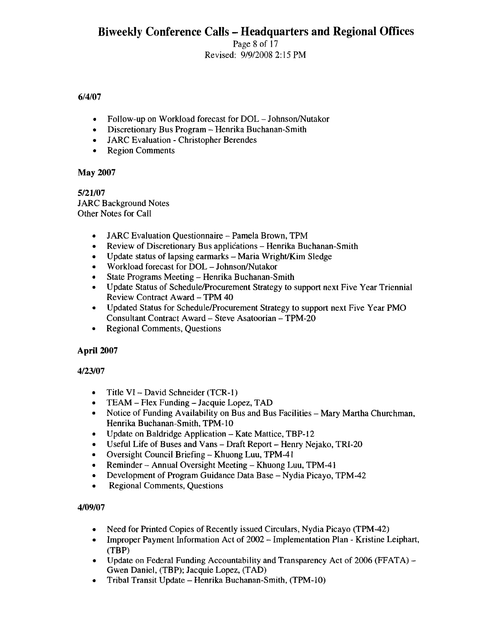Page 8 of 17 Revised: 9/9/2008 2: 15 PM

# 6/4/07

- Follow-up on Workload forecast for DOL Johnson/Nutakor
- Discretionary Bus Program Henrika Buchanan-Smith
- JARC Evaluation Christopher Berendes
- Region Comments

# May 2007

5/21/07 JARC Background Notes Other Notes for Call

- JARC Evaluation Questionnaire Pamela Brown, TPM
- Review of Discretionary Bus applications Henrika Buchanan-Smith
- Update status of lapsing earmarks  $-$  Maria Wright/Kim Sledge
- Workload forecast for DOL Johnson/Nutakor
- State Programs Meeting Henrika Buchanan-Smith
- Update Status of Schedule/Procurement Strategy to support next Five Year Triennial Review Contract Award - TPM 40
- Updated Status for Schedule/Procurement Strategy to support next Five Year PMO Consultant Contract Award - Steve Asatoorian - TPM-20
- Regional Comments, Questions

# April 2007

# 4/23/07

- Title VI David Schneider (TCR-l)
- TEAM Flex Funding Jacquie Lopez, TAD
- Notice of Funding Availability on Bus and Bus Facilities Mary Martha Churchman, Henrika Buchanan-Smith, TPM-lO
- Update on Baldridge Application Kate Mattice, TBP-12
- Useful Life of Buses and Vans Draft Report Henry Nejako, TRI-20
- Oversight Council Briefing Khuong Luu, TPM-41
- Reminder Annual Oversight Meeting Khuong Luu, TPM-41
- Development of Program Guidance Data Base Nydia Picayo, TPM-42
- Regional Comments, Questions

# 4/09/07

- Need for Printed Copies of Recently issued Circulars, Nydia Picayo (TPM-42)
- Improper Payment Information Act of 2002 Implementation Plan Kristine Leiphart, (TBP)
- Update on Federal Funding Accountability and Transparency Act of 2006 (FFATA) Gwen Daniel, (TBP); Jacquie Lopez, (TAD)
- Tribal Transit Update Henrika Buchanan-Smith,  $(TPM-10)$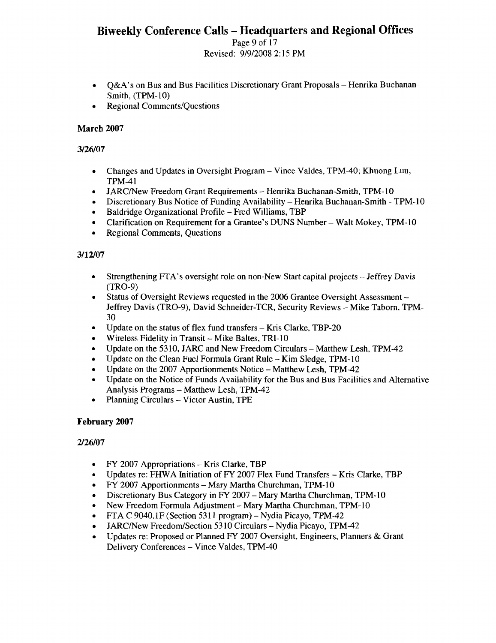Page 9 of 17 Revised: 9/9/2008 2: 15 PM

- Q&A's on Bus and Bus Facilities Discretionary Grant Proposals Henrika Buchanan-Smith, (TPM-IO)
- Regional Comments/Questions

# March 2007

# 3/26/07

- Changes and Updates in Oversight Program Vince Valdes, TPM-40; Khuong Luu, TPM-41
- JARC/New Freedom Grant Requirements Henrika Buchanan-Smith, TPM-10
- Discretionary Bus Notice of Funding Availability Henrika Buchanan-Smith TPM-10
- Baldridge Organizational Profile Fred Williams, TBP
- Clarification on Requirement for a Grantee's DUNS Number Walt Mokey, TPM-1O
- Regional Comments, Questions

# 3/12107

- Strengthening FfA's oversight role on non-New Start capital projects Jeffrey Davis (TRO-9)
- Status of Oversight Reviews requested in the 2006 Grantee Oversight Assessment Jeffrey Davis (TRO-9), David Schneider-TCR, Security Reviews - Mike Taborn, TPM-30
- Update on the status of flex fund transfers Kris Clarke, TBP-20
- Wireless Fidelity in Transit  $-$  Mike Baltes, TRI-10
- Update on the 5310, JARC and New Freedom Circulars Matthew Lesh, TPM-42
- Update on the Clean Fuel Formula Grant Rule  $-$  Kim Sledge, TPM-10
- Update on the 2007 Apportionments Notice Matthew Lesh, TPM-42
- Update on the Notice of Funds Availability for the Bus and Bus Facilities and Alternative Analysis Programs - Matthew Lesh, TPM-42
- Planning Circulars Victor Austin, TPE

# February 2007

# 2126/07

- FY 2007 Appropriations Kris Clarke, TBP
- Updates re: FHWA Initiation of FY 2007 Flex Fund Transfers Kris Clarke, TBP
- FY 2007 Apportionments Mary Martha Churchman, TPM-10
- Discretionary Bus Category in FY 2007 Mary Martha Churchman, TPM-IO
- New Freedom Formula Adjustment Mary Martha Churchman, TPM-10
- FfA C 9040.lF (Section 5311 program) Nydia Picayo, TPM-42
- JARClNew Freedom/Section 5310 Circulars Nydia Picayo, TPM-42
- Updates re: Proposed or Planned FY 2007 Oversight, Engineers, Planners & Grant Delivery Conferences – Vince Valdes, TPM-40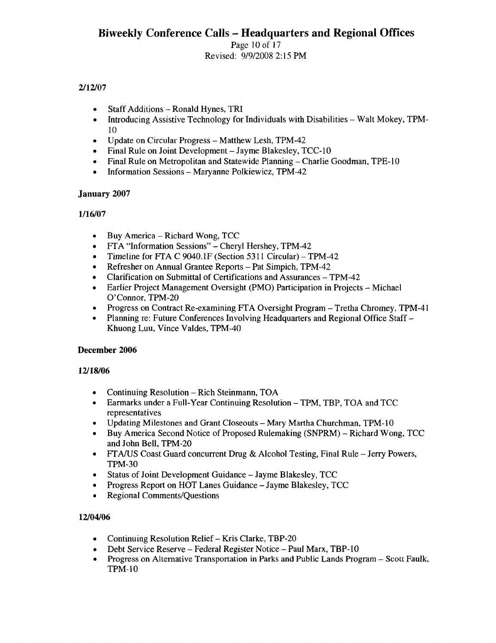# Revised: 9/9/2008 2: 15 PM

# 2/12/07

- Staff Additions Ronald Hynes, TRI
- Introducing Assistive Technology for Individuals with Disabilities Walt Mokey, TPM-10
- Update on Circular Progress Matthew Lesh, TPM-42
- Final Rule on Joint Development Jayme Blakesley, TCC-10
- Final Rule on Metropolitan and Statewide Planning Charlie Goodman, TPE-I 0
- Information Sessions Maryanne Polkiewicz, TPM-42

# January 2007

# 1116/07

- Buy America Richard Wong, TCC
- FTA "Information Sessions" Cheryl Hershey, TPM-42
- Timeline for FTA C 9040.1F (Section 5311 Circular) TPM-42
- Refresher on Annual Grantee Reports Pat Simpich, TPM-42
- Clarification on Submittal of Certifications and Assurances TPM-42
- Earlier Project Management Oversight (PMO) Participation in Projects Michael O'Connor, TPM-20
- Progress on Contract Re-examining FTA Oversight Program Tretha Chromey, TPM-41
- Planning re: Future Conferences Involving Headquarters and Regional Office Staff-Khuong Luu, Vince Valdes, TPM-40

# December 2006

# 12/18/06

- Continuing Resolution Rich Steinmann, TOA
- Earmarks under a Full-Year Continuing Resolution TPM, TBP, TOA and TCC representatives
- Updating Milestones and Grant Closeouts Mary Martha Churchman, TPM-10
- Buy America Second Notice of Proposed Rulemaking (SNPRM) Richard Wong, TCC and John Bell, TPM-20
- FTA/US Coast Guard concurrent Drug & Alcohol Testing, Final Rule Jerry Powers, TPM-30
- Status of Joint Development Guidance Jayme Blakesley, TCC
- Progress Report on HOT Lanes Guidance Jayme Blakesley, TCC
- Regional Comments/Questions

# 12/04/06

- Continuing Resolution Relief Kris Clarke, TBP-20
- Debt Service Reserve Federal Register Notice Paul Marx, TBP-lO
- Progress on Alternative Transportation in Parks and Public Lands Program Scott Faulk, TPM-10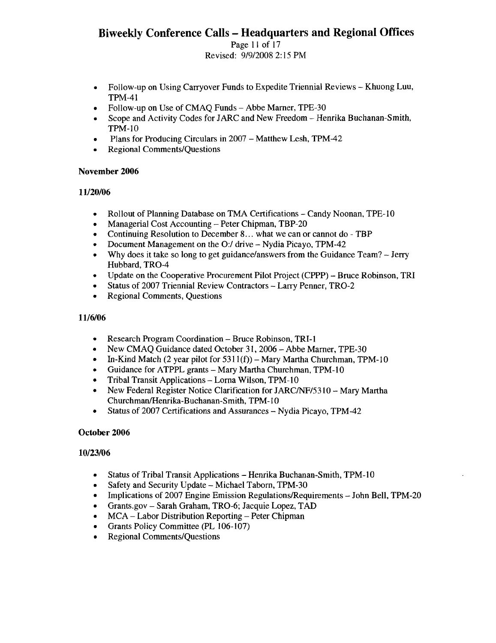Page II of 17 Revised: 9/9/2008 2: 15 PM

- Follow-up on Using Carryover Funds to Expedite Triennial Reviews Khuong Luu, TPM-41
- Follow-up on Use of CMAQ Funds Abbe Marner, TPE-30
- Scope and Activity Codes for JARC and New Freedom Henrika Buchanan-Smith, TPM-1O
- Plans for Producing Circulars in 2007 Matthew Lesh, TPM-42
- Regional Comments/Questions

# November 2006

# 11120/06

- Rollout of Planning Database on TMA Certifications Candy Noonan, TPE-10
- Managerial Cost Accounting Peter Chipman, TBP-20
- Continuing Resolution to December 8... what we can or cannot do TBP
- Document Management on the 0:/ drive Nydia Picayo, TPM-42
- Why does it take so long to get guidance/answers from the Guidance Team? Jerry Hubbard, TRO-4
- Update on the Cooperative Procurement Pilot Project (CPPP) Bruce Robinson, TRI
- Status of 2007 Triennial Review Contractors Larry Penner, TRO-2
- Regional Comments, Questions

# 11/6/06

- Research Program Coordination Bruce Robinson, TRI-I
- New CMAQ Guidance dated October 31, 2006 Abbe Marner, TPE-30
- In-Kind Match (2 year pilot for  $5311(f)$ ) Mary Martha Churchman, TPM-10
- Guidance for ATPPL grants Mary Martha Churchman, TPM-10
- Tribal Transit Applications Lorna Wilson, TPM-I0
- New Federal Register Notice Clarification for JARC/NF/5310 Mary Martha Churchman/Henrika-Buchanan-Smith, TPM-10
- Status of 2007 Certifications and Assurances Nydia Picayo, TPM-42

# October 2006

# 10/23/06

- Status of Tribal Transit Applications Henrika Buchanan-Smith, TPM-I0
- Safety and Security Update Michael Taborn, TPM-30
- Implications of 2007 Engine Emission Regulations/Requirements John Bell, TPM-20
- Grants.gov Sarah Graham, TRO-6; Jacquie Lopez, TAD
- MCA Labor Distribution Reporting Peter Chipman
- Grants Policy Committee (pL 106-107)
- Regional Comments/Questions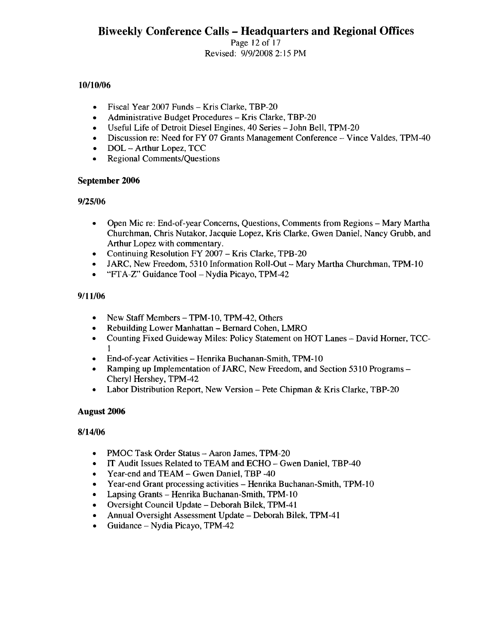Page 12 of 17 Revised: 9/912008 2: 15 PM

# 10/10/06

- Fiscal Year 2007 Funds Kris Clarke, TBP-20
- Administrative Budget Procedures Kris Clarke, TBP-20
- Useful Life of Detroit Diesel Engines, 40 Series John Bell, TPM-20
- Discussion re: Need for FY 07 Grants Management Conference Vince Valdes, TPM-40
- DOL Arthur Lopez, TCC
- Regional Comments/Questions

# September 2006

# 9/25/06

- Open Mic re: End-of-year Concerns, Questions, Comments from Regions Mary Martha Churchman, Chris Nutakor, Jacquie Lopez, Kris Clarke, Gwen Daniel, Nancy Grubb, and Arthur Lopez with commentary.
- Continuing Resolution FY 2007 Kris Clarke, TPB-20
- JARC, New Freedom, 5310 Information Roll-Out Mary Martha Churchman, TPM-lO
- "FTA-Z" Guidance Tool- Nydia Picayo, TPM-42

# 9/11/06

- New Staff Members TPM-10, TPM-42, Others
- Rebuilding Lower Manhattan Bernard Cohen, LMRO
- Counting Fixed Guideway Miles: Policy Statement on HOT Lanes David Horner, TCC-1
- End-of-year Activities Henrika Buchanan-Smith, TPM-lO
- Ramping up Implementation of JARC, New Freedom, and Section 5310 Programs -Cheryl Hershey, TPM-42
- Labor Distribution Report, New Version Pete Chipman & Kris Clarke, TBP-20

# August 2006

# 8/14/06

- PMOC Task Order Status Aaron James, TPM-20
- IT Audit Issues Related to TEAM and ECHO Gwen Daniel, TBP-40
- Year-end and TEAM Gwen Daniel, TBP -40
- Year-end Grant processing activities Henrika Buchanan-Smith, TPM-10
- Lapsing Grants Henrika Buchanan-Smith, TPM-10
- Oversight Council Update Deborah Bilek, TPM-41
- Annual Oversight Assessment Update Deborah Bilek, TPM-41
- Guidance Nydia Picayo, TPM-42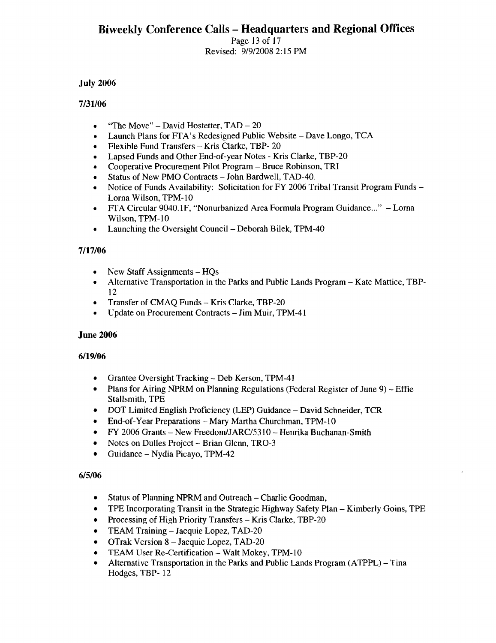Page 13 of 17 Revised: 9/9/2008 2: 15 PM

#### July 2006

#### 7/31/06

- "The Move" David Hostetter,  $TAD 20$
- Launch Plans for FTA's Redesigned Public Website Dave Longo, TCA
- Flexible Fund Transfers Kris Clarke, TBP- 20
- Lapsed Funds and Other End-of-year Notes Kris Clarke, TBP-20
- Cooperative Procurement Pilot Program Bruce Robinson, TRI
- Status of New PMO Contracts John Bardwell, TAD-40.
- Notice of Funds Availability: Solicitation for FY 2006 Tribal Transit Program Funds-Lorna Wilson, TPM-lO
- FrA Circular 9040. IF, "Nonurbanized Area Formula Program Guidance..." Lorna Wilson, TPM-lO
- Launching the Oversight Council- Deborah Bilek, TPM-40

# 7/17/06

- New Staff Assignments HQs
- Alternative Transportation in the Parks and Public Lands Program Kate Mattice, TBP-12
- Transfer of CMAQ Funds Kris Clarke, TBP-20
- Update on Procurement Contracts Jim Muir, TPM-41

# June 2006

# 6/19/06

- Grantee Oversight Tracking Deb Kerson, TPM-41
- Plans for Airing NPRM on Planning Regulations (Federal Register of June 9) Effie Stallsmith, TPE
- DOT Limited English Proficiency (LEP) Guidance David Schneider, TCR
- End-of-Year Preparations Mary Martha Churchman, TPM-10
- FY 2006 Grants New FreedomlJARC/531 0 Henrika Buchanan-Smith
- Notes on Dulles Project Brian Glenn, TRO-3
- Guidance Nydia Picayo, TPM-42

# 6/5/06

- Status of Planning NPRM and Outreach Charlie Goodman,
- TPE Incorporating Transit in the Strategic Highway Safety Plan Kimberly Goins, TPE
- Processing of High Priority Transfers Kris Clarke, TBP-20
- TEAM Training Jacquie Lopez, TAD-20
- OTrak Version 8 Jacquie Lopez, TAD-20
- TEAM User Re-Certification Walt Mokey, TPM-10
- Alternative Transportation in the Parks and Public Lands Program (ATPPL) Tina Hodges, TBP- 12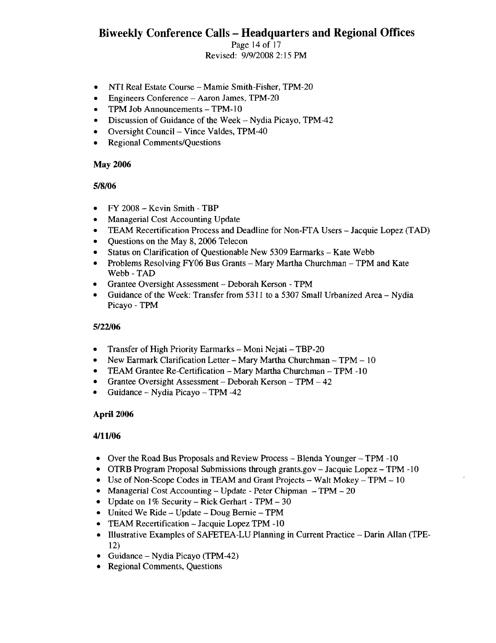Page 14 of 17 Revised: 9/912008 2: 15 PM

- NTI Real Estate Course Mamie Smith-Fisher, TPM-20
- Engineers Conference Aaron James, TPM-20
- TPM Job Announcements TPM-10
- Discussion of Guidance of the Week Nydia Picayo, TPM-42
- Oversight Council- Vince Valdes, TPM-40
- Regional Comments/Questions

#### May 2006

# 5/8/06

- FY 2008 Kevin Smith TBP
- Managerial Cost Accounting Update
- TEAM Recertification Process and Deadline for Non-FfA Users Jacquie Lopez (TAD)
- Questions on the May 8, 2006 Telecon
- Status on Clarification of Questionable New 5309 Earmarks Kate Webb
- Problems Resolving FY06 Bus Grants Mary Martha Churchman TPM and Kate Webb-TAD
- Grantee Oversight Assessment Deborah Kerson TPM
- Guidance of the Week: Transfer from 5311 to a 5307 Small Urbanized Area Nydia Picayo - TPM

# 5/22106

- Transfer of High Priority Earmarks Moni Nejati TBP-20
- New Earmark Clarification Letter Mary Martha Churchman TPM 10
- TEAM Grantee Re-Certification Mary Martha Churchman TPM -10
- Grantee Oversight Assessment Deborah Kerson TPM 42
- Guidance Nydia Picayo TPM -42

# April 2006

#### 4/11/06

- Over the Road Bus Proposals and Review Process Blenda Younger TPM -10
- OTRB Program Proposal Submissions through grants.gov Jacquie Lopez TPM -10
- Use of Non-Scope Codes in TEAM and Grant Projects Walt Mokey TPM  $10$
- Managerial Cost Accounting Update Peter Chipman TPM 20
- Update on  $1\%$  Security Rick Gerhart TPM 30
- United We Ride Update Doug Bernie TPM
- TEAM Recertification Jacquie Lopez TPM -10
- Illustrative Examples of SAFETEA-LU Planning in Current Practice Darin Allan (TPE-12)
- Guidance Nydia Picayo (TPM-42)
- Regional Comments, Questions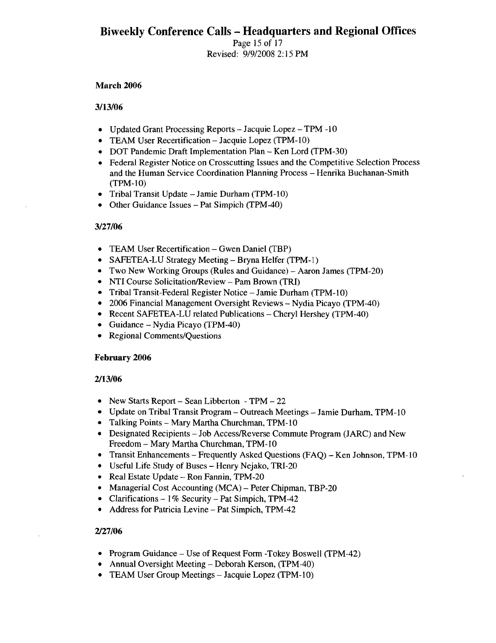Page 15 of 17 Revised: 9/9/2008 2: 15 PM

#### March 2006

#### *3/13/06*

- Updated Grant Processing Reports Jacquie Lopez TPM -10
- TEAM User Recertification Jacquie Lopez (TPM-lO)
- DOT Pandemic Draft Implementation Plan Ken Lord (TPM-30)
- Federal Register Notice on Crosscutting Issues and the Competitive Selection Process and the Human Service Coordination Planning Process - Henrika Buchanan-Smith (TPM-lO)
- Tribal Transit Update Jamie Durham (TPM-10)
- Other Guidance Issues Pat Simpich (TPM-40)

# *3127/06*

- TEAM User Recertification Gwen Daniel (TBP)
- SAFETEA-LU Strategy Meeting Bryna Helfer (TPM-l)
- Two New Working Groups (Rules and Guidance) Aaron James (TPM-20)
- NTI Course Solicitation/Review Pam Brown (TRI)
- Tribal Transit-Federal Register Notice Jamie Durham (TPM-l 0)
- 2006 Financial Management Oversight Reviews Nydia Picayo (TPM-40)
- Recent SAFETEA-LU related Publications Cheryl Hershey (TPM-40)
- Guidance Nydia Picayo (TPM-40)
- Regional Comments/Questions

# February 2006

# *2/13/06*

- New Starts Report  $-$  Sean Libberton  $-$  TPM  $-$  22
- Update on Tribal Transit Program Outreach Meetings Jamie Durham, TPM-10
- Talking Points Mary Martha Churchman, TPM-IO
- Designated Recipients Job AccesslReverse Commute Program (JARC) and New Freedom - Mary Martha Churchman, TPM-10
- Transit Enhancements Frequently Asked Questions (FAQ) Ken Johnson, TPM-10
- Useful Life Study of Buses Henry Nejako, TRI-20
- Real Estate Update Ron Fannin, TPM-20
- Managerial Cost Accounting (MCA) Peter Chipman, TBP-20
- Clarifications  $-1\%$  Security  $-$  Pat Simpich, TPM-42
- Address for Patricia Levine Pat Simpich, TPM-42

# 2/27/06

- Program Guidance Use of Request Form -Tokey Boswell (TPM-42)
- Annual Oversight Meeting Deborah Kerson, (TPM-40)
- TEAM User Group Meetings Jacquie Lopez (TPM-10)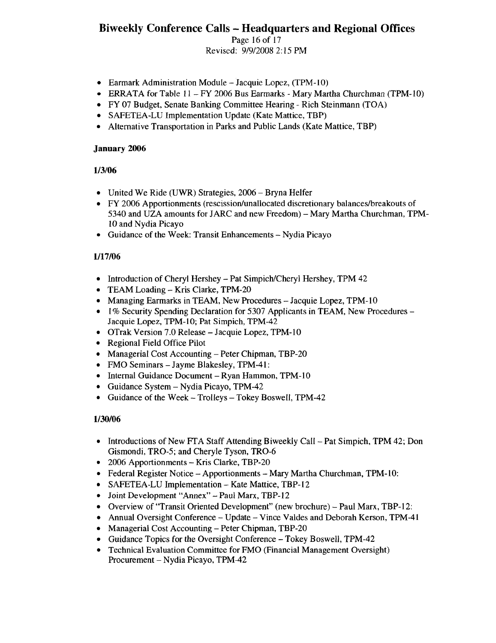Page 16 of 17 Revised: 9/9/2008 2: 15 PM

- Earmark Administration Module Jacquie Lopez, (TPM-10)
- ERRATA for Table 11 FY 2006 Bus Earmarks Mary Martha Churchman (TPM-10)
- FY 07 Budget, Senate Banking Committee Hearing Rich Steinmann (TOA)
- SAFETEA-LU Implementation Update (Kate Mattice, TBP)
- Alternative Transportation in Parks and Public Lands (Kate Mattice, TBP)

#### January 2006

# 113/06

- United We Ride (UWR) Strategies, 2006 Bryna Helfer
- FY 2006 Apportionments (rescission/unallocated discretionary balances/breakouts of 5340 and UZA amounts for JARC and new Freedom) - Mary Martha Churchman, TPM-IO and Nydia Picayo
- Guidance of the Week: Transit Enhancements Nydia Picayo

# 1117/06

- Introduction of Cheryl Hershey Pat Simpich/Cheryl Hershey, TPM 42
- TEAM Loading Kris Clarke, TPM-20
- Managing Earmarks in TEAM, New Procedures Jacquie Lopez, TPM-10
- 1% Security Spending Declaration for 5307 Applicants in TEAM, New Procedures Jacquie Lopez, TPM-lO; Pat Simpich, TPM-42
- OTrak Version 7.0 Release Jacquie Lopez, TPM-10
- Regional Field Office Pilot
- Managerial Cost Accounting Peter Chipman, TBP-20
- FMO Seminars -Jayme Blakesley, TPM-41:
- Internal Guidance Document Ryan Hammon, TPM-10
- Guidance System Nydia Picayo, TPM-42
- Guidance of the Week Trolleys Tokey Boswell, TPM-42

# 1/30/06

- Introductions of New FTA Staff Attending Biweekly Call Pat Simpich, TPM 42; Don Gismondi, TRO-5; and Cheryle Tyson, TRO-6
- 2006 Apportionments Kris Clarke, TBP-20
- Federal Register Notice Apportionments Mary Martha Churchman, TPM-10:
- SAFETEA-LU Implementation Kate Mattice, TBP-12
- Joint Development "Annex" Paul Marx, TBP-12
- Overview of "Transit Oriented Development" (new brochure) Paul Marx, TBP-12:
- Annual Oversight Conference Update Vince Valdes and Deborah Kerson, TPM-41
- Managerial Cost Accounting Peter Chipman, TBP-20
- Guidance Topics for the Oversight Conference Tokey Boswell, TPM-42
- Technical Evaluation Committee for FMO (Financial Management Oversight) Procurement - Nydia Picayo, TPM-42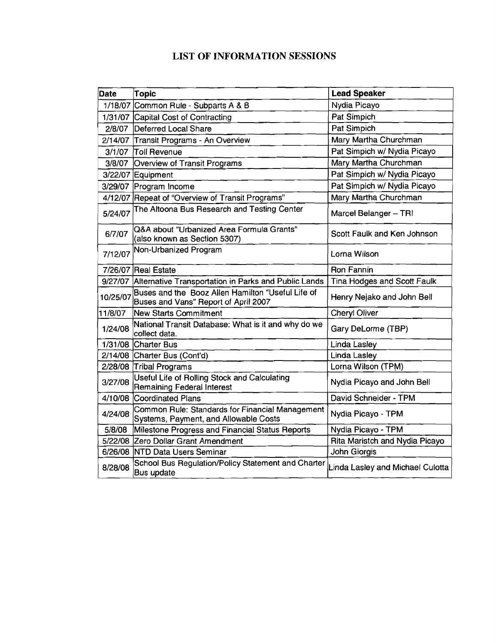# LIST OF INFORMATION SESSIONS

| <b>Date</b> | Topic                                                                                     | <b>Lead Speaker</b>              |
|-------------|-------------------------------------------------------------------------------------------|----------------------------------|
|             | 1/18/07 Common Rule - Subparts A & B                                                      | Nydia Picayo                     |
|             | 1/31/07 Capital Cost of Contracting                                                       | Pat Simpich                      |
| 2/8/07      | Deferred Local Share                                                                      | Pat Simpich                      |
|             | 2/14/07 Transit Programs - An Overview                                                    | Mary Martha Churchman            |
| 3/1/07      | <b>Toll Revenue</b>                                                                       | Pat Simpich w/ Nydia Picayo      |
| 3/8/07      | Overview of Transit Programs                                                              | Mary Martha Churchman            |
|             | 3/22/07 Equipment                                                                         | Pat Simpich w/ Nydia Picayo      |
|             | 3/29/07 Program Income                                                                    | Pat Simpich w/ Nydia Picayo      |
|             | 4/12/07 Repeat of "Overview of Transit Programs"                                          | Mary Martha Churchman            |
| 5/24/07     | The Altoona Bus Research and Testing Center                                               | Marcel Belanger - TRI            |
| 6/7/07      | Q&A about "Urbanized Area Formula Grants"<br>(also known as Section 5307)                 | Scott Faulk and Ken Johnson      |
| 7/12/07     | Non-Urbanized Program                                                                     | Lorna Wilson                     |
|             | 7/26/07 Real Estate                                                                       | <b>Ron Fannin</b>                |
|             | 9/27/07 Alternative Transportation in Parks and Public Lands                              | Tina Hodges and Scott Faulk      |
| 10/25/07    | Buses and the Booz Allen Hamilton "Useful Life of<br>Buses and Vans" Report of April 2007 | Henry Nejako and John Bell       |
| 11/8/07     | <b>New Starts Commitment</b>                                                              | <b>Cheryl Oliver</b>             |
| 1/24/08     | National Transit Database: What is it and why do we<br>collect data.                      | Gary DeLorme (TBP)               |
|             | 1/31/08 Charter Bus                                                                       | Linda Lasley                     |
|             | 2/14/08 Charter Bus (Cont'd)                                                              | <b>Linda Lasley</b>              |
|             | 2/28/08 Tribal Programs                                                                   | Lorna Wilson (TPM)               |
| 3/27/08     | Useful Life of Rolling Stock and Calculating<br>Remaining Federal Interest                | Nydia Picayo and John Bell       |
| 4/10/08     | Coordinated Plans                                                                         | David Schneider - TPM            |
| 4/24/08     | Common Rule: Standards for Financial Management<br>Systems, Payment, and Allowable Costs  | Nydia Picayo - TPM               |
| 5/8/08      | Milestone Progress and Financial Status Reports                                           | Nydia Picayo - TPM               |
|             | 5/22/08 Zero Dollar Grant Amendment                                                       | Rita Maristch and Nydia Picayo   |
|             | 6/26/08 NTD Data Users Seminar                                                            | John Giorgis                     |
| 8/28/08     | School Bus Regulation/Policy Statement and Charter<br><b>Bus update</b>                   | Linda Lasley and Michael Culotta |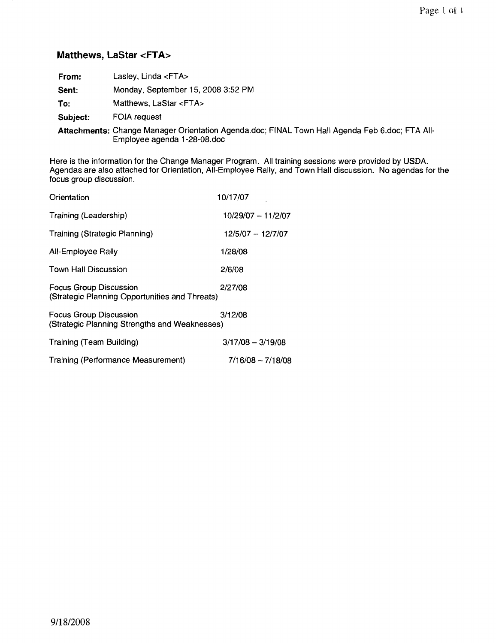# **Matthews, LaStar <FTA>**

| From:    | Lasley, Linda <fta></fta>                                                                      |
|----------|------------------------------------------------------------------------------------------------|
| Sent:    | Monday, September 15, 2008 3:52 PM                                                             |
| To:      | Matthews, LaStar <fta></fta>                                                                   |
| Subject: | FOIA request                                                                                   |
|          | Attachments: Change Manager Orientation Agenda.doc; FINAL Town Hall Agenda Feb 6.doc; FTA All- |

Employee agenda 1-28-08.doc

Here is the information for the Change Manager Program. All training sessions were provided by USDA. Agendas are also attached for Orientation, All-Employee Rally, and Town Hall discussion. No agendas for the focus group discussion.

| Orientation                                                                     | 10/17/07            |
|---------------------------------------------------------------------------------|---------------------|
| Training (Leadership)                                                           | 10/29/07 - 11/2/07  |
| <b>Training (Strategic Planning)</b>                                            | 12/5/07 -- 12/7/07  |
| All-Employee Rally                                                              | 1/28/08             |
| <b>Town Hall Discussion</b>                                                     | 2/6/08              |
| <b>Focus Group Discussion</b><br>(Strategic Planning Opportunities and Threats) | 2/27/08             |
| <b>Focus Group Discussion</b><br>(Strategic Planning Strengths and Weaknesses)  | 3/12/08             |
| Training (Team Building)                                                        | $3/17/08 - 3/19/08$ |
| Training (Performance Measurement)                                              | $7/16/08 - 7/18/08$ |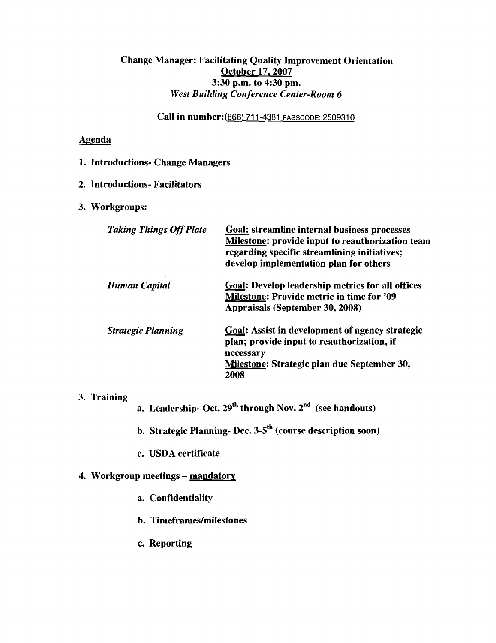# Change Manager: Facilitating Quality Improvement Orientation October 17, 2007 3:30 p.m. to 4:30 pm. *West Building Conference Center-Room 6*

Call in number:(866) 711-4381 PASSCODE: 2509310

# Agenda

# 1. Introductions- Change Managers

# 2. Introductions- Facilitators

# 3. Workgroups:

| <b>Taking Things Off Plate</b> | Goal: streamline internal business processes<br><b>Milestone: provide input to reauthorization team</b><br>regarding specific streamlining initiatives;<br>develop implementation plan for others |
|--------------------------------|---------------------------------------------------------------------------------------------------------------------------------------------------------------------------------------------------|
| Human Capital                  | <b>Goal: Develop leadership metrics for all offices</b><br><b>Milestone: Provide metric in time for '09</b><br><b>Appraisals (September 30, 2008)</b>                                             |
| <b>Strategic Planning</b>      | <b>Goal: Assist in development of agency strategic</b><br>plan; provide input to reauthorization, if<br>necessary<br>Milestone: Strategic plan due September 30,<br>2008                          |

# 3. Training

a. Leadership- Oct.  $29^{th}$  through Nov.  $2^{nd}$  (see handouts)

- b. Strategic Planning- Dec.  $3-5$ <sup>th</sup> (course description soon)
- c. USDA certificate

# 4. Workgroup meetings - mandatory

- a. Confidentiality
- b. Timeframes/milestones
- c. Reporting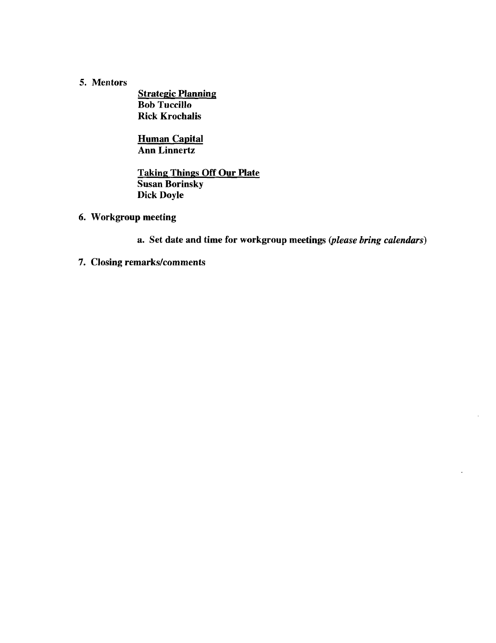# 5. Mentors

**Strategic Planning** Bob Tuccillo Rick Krochalis

Human Capital Ann Linnertz

Taking Things Off Our Plate Susan Borinsky Dick Doyle

6. Workgroup meeting

a. Set date and time for workgroup meetings *(please bring calendars)*

7. Closing remarks/comments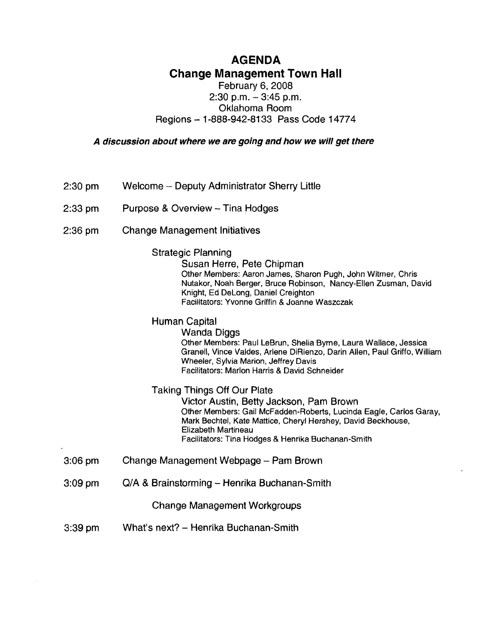# **AGENDA Change Management Town Hall**

# February 6, 2008  $2:30$  p.m.  $-3:45$  p.m. Oklahoma Room Regions - 1-888-942-8133 Pass Code 14774

A discussion about where we are going and how we will get there

- 2:30 pm Welcome -- Deputy Administrator Sherry Little
- 2:33 pm Purpose & Overview - Tina Hodges
- 2:36 pm Change Management Initiatives

Strategic Planning

Susan Herre, Pete Chipman Other Members: Aaron James, Sharon Pugh, John Witmer, Chris Nutakor, Noah Berger, Bruce Robinson, Nancy-Ellen Zusman, David Knight, Ed Delong, Daniel Creighton Facilitators: Yvonne Griffin & Joanne Waszczak

Human Capital

Wanda Diggs Other Members: Paul leBrun, Shelia Byrne, laura Wallace, Jessica Granell, Vince Valdes, Arlene DiRienzo, Darin Allen, Paul Griffo, William Wheeler, Sylvia Marion, Jeffrey Davis

Facilitators: Marlon Harris & David Schneider

# Taking Things Off Our Plate

Victor Austin, Betty Jackson, Pam Brown Other Members: Gail McFadden-Roberts, lucinda Eagle, Carlos Garay, Mark Bechtel, Kate Mattice, Cheryl Hershey, David Beckhouse, Elizabeth Martineau Facilitators: Tina Hodges & Henrika Buchanan-Smith

- 3:06 pm Change Management Webpage - Pam Brown
- 3:09 pm  $Q/A$  & Brainstorming - Henrika Buchanan-Smith

Change Management Workgroups

3:39 pm What's next? - Henrika Buchanan-Smith